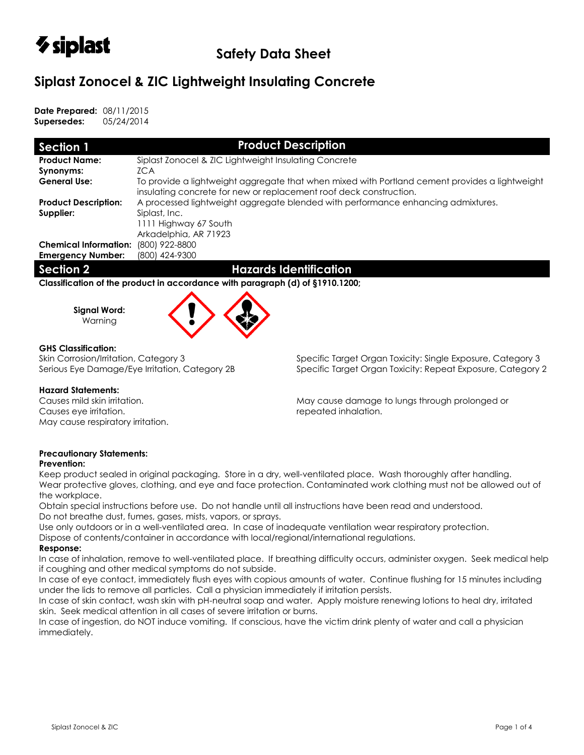

# **Siplast Zonocel & ZIC Lightweight Insulating Concrete**

**Date Prepared:** 08/11/2015 **Supersedes:** 05/24/2014

| Section 1                    | <b>Product Description</b>                                                                                                                                           |  |  |  |  |  |  |
|------------------------------|----------------------------------------------------------------------------------------------------------------------------------------------------------------------|--|--|--|--|--|--|
| <b>Product Name:</b>         | Siplast Zonocel & ZIC Lightweight Insulating Concrete                                                                                                                |  |  |  |  |  |  |
| Synonyms:                    | ZCA                                                                                                                                                                  |  |  |  |  |  |  |
| <b>General Use:</b>          | To provide a lightweight aggregate that when mixed with Portland cement provides a lightweight<br>insulating concrete for new or replacement roof deck construction. |  |  |  |  |  |  |
| <b>Product Description:</b>  | A processed lightweight aggregate blended with performance enhancing admixtures.                                                                                     |  |  |  |  |  |  |
| Supplier:                    | Siplast, Inc.                                                                                                                                                        |  |  |  |  |  |  |
|                              | 1111 Highway 67 South                                                                                                                                                |  |  |  |  |  |  |
|                              | Arkadelphia, AR 71923                                                                                                                                                |  |  |  |  |  |  |
| <b>Chemical Information:</b> | (800) 922-8800                                                                                                                                                       |  |  |  |  |  |  |
| <b>Emergency Number:</b>     | (800) 424-9300                                                                                                                                                       |  |  |  |  |  |  |
| <b>Section 2</b>             | <b>Hazards Identification</b>                                                                                                                                        |  |  |  |  |  |  |
|                              |                                                                                                                                                                      |  |  |  |  |  |  |

**Classification of the product in accordance with paragraph (d) of §1910.1200;**

**Signal Word:** Warning



# **GHS Classification:**

## **Hazard Statements:**

Causes eye irritation. The contraction of the causes of the causes of the causes of the cause of the cause of the cause of the cause of the cause of the cause of the cause of the cause of the cause of the cause of the caus May cause respiratory irritation.

Skin Corrosion/Irritation, Category 3 Specific Target Organ Toxicity: Single Exposure, Category 3 Serious Eye Damage/Eye Irritation, Category 2B Specific Target Organ Toxicity: Repeat Exposure, Category 2

Causes mild skin irritation. May cause damage to lungs through prolonged or

# **Precautionary Statements:**

## **Prevention:**

Keep product sealed in original packaging. Store in a dry, well-ventilated place. Wash thoroughly after handling. Wear protective gloves, clothing, and eye and face protection. Contaminated work clothing must not be allowed out of the workplace.

Obtain special instructions before use. Do not handle until all instructions have been read and understood. Do not breathe dust, fumes, gases, mists, vapors, or sprays.

Use only outdoors or in a well-ventilated area. In case of inadequate ventilation wear respiratory protection.

Dispose of contents/container in accordance with local/regional/international regulations.

## **Response:**

In case of inhalation, remove to well-ventilated place. If breathing difficulty occurs, administer oxygen. Seek medical help if coughing and other medical symptoms do not subside.

In case of eye contact, immediately flush eyes with copious amounts of water. Continue flushing for 15 minutes including under the lids to remove all particles. Call a physician immediately if irritation persists.

In case of skin contact, wash skin with pH-neutral soap and water. Apply moisture renewing lotions to heal dry, irritated skin. Seek medical attention in all cases of severe irritation or burns.

In case of ingestion, do NOT induce vomiting. If conscious, have the victim drink plenty of water and call a physician immediately.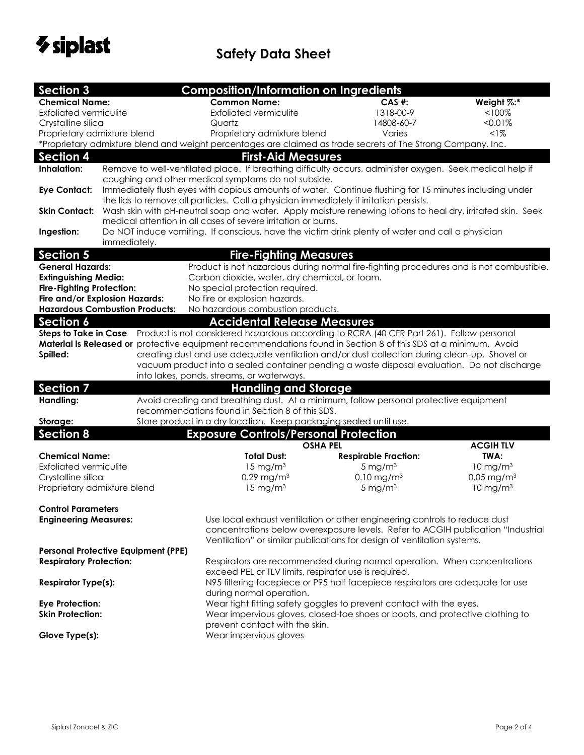

| <b>Section 3</b>                 |                                                                                                                                                                                                       | <b>Composition/Information on Ingredients</b>                                                                   |                             |                          |  |  |
|----------------------------------|-------------------------------------------------------------------------------------------------------------------------------------------------------------------------------------------------------|-----------------------------------------------------------------------------------------------------------------|-----------------------------|--------------------------|--|--|
| <b>Chemical Name:</b>            |                                                                                                                                                                                                       | <b>Common Name:</b>                                                                                             | $CAS$ #:                    | Weight %:*               |  |  |
| <b>Exfoliated vermiculite</b>    |                                                                                                                                                                                                       | <b>Exfoliated vermiculite</b>                                                                                   | 1318-00-9                   | $< 100\%$                |  |  |
| Crystalline silica               |                                                                                                                                                                                                       | Quartz                                                                                                          | 14808-60-7                  | <0.01%                   |  |  |
| Proprietary admixture blend      |                                                                                                                                                                                                       | Proprietary admixture blend                                                                                     | Varies                      | <1%                      |  |  |
|                                  |                                                                                                                                                                                                       | *Proprietary admixture blend and weight percentages are claimed as trade secrets of The Strong Company, Inc.    |                             |                          |  |  |
| <b>Section 4</b>                 |                                                                                                                                                                                                       | <b>First-Aid Measures</b>                                                                                       |                             |                          |  |  |
| Inhalation:                      |                                                                                                                                                                                                       | Remove to well-ventilated place. If breathing difficulty occurs, administer oxygen. Seek medical help if        |                             |                          |  |  |
|                                  |                                                                                                                                                                                                       | coughing and other medical symptoms do not subside.                                                             |                             |                          |  |  |
| <b>Eye Contact:</b>              |                                                                                                                                                                                                       | Immediately flush eyes with copious amounts of water. Continue flushing for 15 minutes including under          |                             |                          |  |  |
|                                  | the lids to remove all particles. Call a physician immediately if irritation persists.<br>Wash skin with pH-neutral soap and water. Apply moisture renewing lotions to heal dry, irritated skin. Seek |                                                                                                                 |                             |                          |  |  |
| <b>Skin Contact:</b>             |                                                                                                                                                                                                       | medical attention in all cases of severe irritation or burns.                                                   |                             |                          |  |  |
| Ingestion:                       |                                                                                                                                                                                                       | Do NOT induce vomiting. If conscious, have the victim drink plenty of water and call a physician                |                             |                          |  |  |
|                                  | immediately.                                                                                                                                                                                          |                                                                                                                 |                             |                          |  |  |
| <b>Section 5</b>                 |                                                                                                                                                                                                       | <b>Fire-Fighting Measures</b>                                                                                   |                             |                          |  |  |
| <b>General Hazards:</b>          |                                                                                                                                                                                                       | Product is not hazardous during normal fire-fighting procedures and is not combustible.                         |                             |                          |  |  |
| <b>Extinguishing Media:</b>      |                                                                                                                                                                                                       | Carbon dioxide, water, dry chemical, or foam.                                                                   |                             |                          |  |  |
| <b>Fire-Fighting Protection:</b> |                                                                                                                                                                                                       | No special protection required.                                                                                 |                             |                          |  |  |
|                                  | Fire and/or Explosion Hazards:                                                                                                                                                                        | No fire or explosion hazards.                                                                                   |                             |                          |  |  |
|                                  | <b>Hazardous Combustion Products:</b>                                                                                                                                                                 | No hazardous combustion products.                                                                               |                             |                          |  |  |
| <b>Section 6</b>                 |                                                                                                                                                                                                       | <b>Accidental Release Measures</b>                                                                              |                             |                          |  |  |
|                                  |                                                                                                                                                                                                       | Steps to Take in Case Product is not considered hazardous according to RCRA (40 CFR Part 261). Follow personal  |                             |                          |  |  |
|                                  |                                                                                                                                                                                                       | Material is Released or protective equipment recommendations found in Section 8 of this SDS at a minimum. Avoid |                             |                          |  |  |
| Spilled:                         |                                                                                                                                                                                                       | creating dust and use adequate ventilation and/or dust collection during clean-up. Shovel or                    |                             |                          |  |  |
|                                  |                                                                                                                                                                                                       | vacuum product into a sealed container pending a waste disposal evaluation. Do not discharge                    |                             |                          |  |  |
|                                  |                                                                                                                                                                                                       | into lakes, ponds, streams, or waterways.                                                                       |                             |                          |  |  |
| <b>Section 7</b>                 |                                                                                                                                                                                                       | <b>Handling and Storage</b>                                                                                     |                             |                          |  |  |
| Handling:                        |                                                                                                                                                                                                       | Avoid creating and breathing dust. At a minimum, follow personal protective equipment                           |                             |                          |  |  |
|                                  |                                                                                                                                                                                                       | recommendations found in Section 8 of this SDS.                                                                 |                             |                          |  |  |
| Storage:                         |                                                                                                                                                                                                       | Store product in a dry location. Keep packaging sealed until use.                                               |                             |                          |  |  |
| Section 8                        |                                                                                                                                                                                                       | <b>Exposure Controls/Personal Protection</b>                                                                    |                             |                          |  |  |
|                                  |                                                                                                                                                                                                       | <b>OSHA PEL</b>                                                                                                 |                             | <b>ACGIHTLV</b>          |  |  |
| <b>Chemical Name:</b>            |                                                                                                                                                                                                       | <b>Total Dust:</b>                                                                                              | <b>Respirable Fraction:</b> | TWA:                     |  |  |
| <b>Exfoliated vermiculite</b>    |                                                                                                                                                                                                       | $15 \text{ mg/m}^3$                                                                                             | 5 mg/ $m3$                  | $10 \text{ mg/m}^3$      |  |  |
| Crystalline silica               |                                                                                                                                                                                                       | 0.29 mg/m <sup>3</sup>                                                                                          | $0.10$ mg/m <sup>3</sup>    | $0.05$ mg/m <sup>3</sup> |  |  |
| Proprietary admixture blend      |                                                                                                                                                                                                       | $15$ mg/m <sup>3</sup>                                                                                          | $5 \text{ mg/m}^3$          | $10 \text{ mg/m}^3$      |  |  |
| <b>Control Parameters</b>        |                                                                                                                                                                                                       |                                                                                                                 |                             |                          |  |  |
| <b>Engineering Measures:</b>     |                                                                                                                                                                                                       | Use local exhaust ventilation or other engineering controls to reduce dust                                      |                             |                          |  |  |
|                                  |                                                                                                                                                                                                       | concentrations below overexposure levels. Refer to ACGIH publication "Industrial                                |                             |                          |  |  |
|                                  |                                                                                                                                                                                                       | Ventilation" or similar publications for design of ventilation systems.                                         |                             |                          |  |  |
|                                  | <b>Personal Protective Equipment (PPE)</b>                                                                                                                                                            |                                                                                                                 |                             |                          |  |  |
| <b>Respiratory Protection:</b>   |                                                                                                                                                                                                       | Respirators are recommended during normal operation. When concentrations                                        |                             |                          |  |  |
|                                  |                                                                                                                                                                                                       | exceed PEL or TLV limits, respirator use is required.                                                           |                             |                          |  |  |
| <b>Respirator Type(s):</b>       |                                                                                                                                                                                                       | N95 filtering facepiece or P95 half facepiece respirators are adequate for use                                  |                             |                          |  |  |
|                                  |                                                                                                                                                                                                       | during normal operation.                                                                                        |                             |                          |  |  |
| <b>Eye Protection:</b>           |                                                                                                                                                                                                       | Wear tight fitting safety goggles to prevent contact with the eyes.                                             |                             |                          |  |  |
| <b>Skin Protection:</b>          |                                                                                                                                                                                                       | Wear impervious gloves, closed-toe shoes or boots, and protective clothing to                                   |                             |                          |  |  |
|                                  |                                                                                                                                                                                                       | prevent contact with the skin.                                                                                  |                             |                          |  |  |
| Glove Type(s):                   |                                                                                                                                                                                                       | Wear impervious gloves                                                                                          |                             |                          |  |  |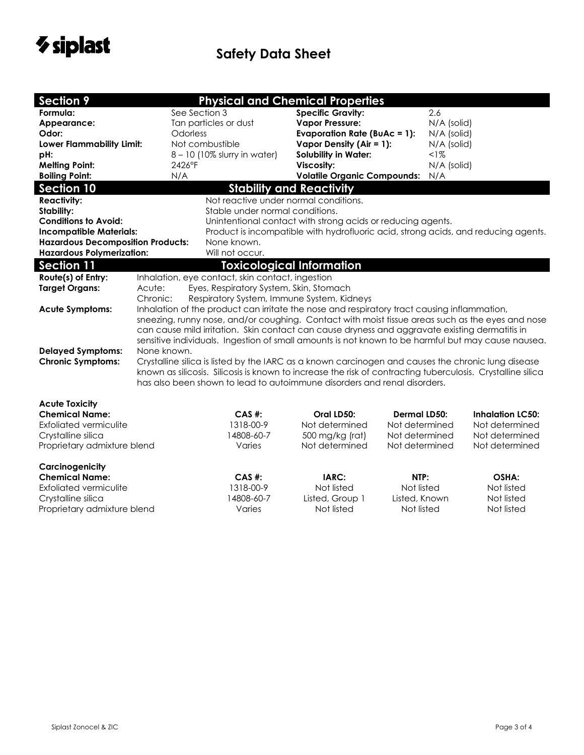

| <b>Section 9</b>                         |                                                                                                                                                                                                                                               | <b>Physical and Chemical Properties</b>                                                     |                                                                                    |                     |             |                         |  |  |
|------------------------------------------|-----------------------------------------------------------------------------------------------------------------------------------------------------------------------------------------------------------------------------------------------|---------------------------------------------------------------------------------------------|------------------------------------------------------------------------------------|---------------------|-------------|-------------------------|--|--|
| Formula:                                 |                                                                                                                                                                                                                                               | See Section 3                                                                               | <b>Specific Gravity:</b>                                                           |                     | 2.6         |                         |  |  |
| Appearance:                              |                                                                                                                                                                                                                                               | Tan particles or dust                                                                       | <b>Vapor Pressure:</b>                                                             |                     | N/A (solid) |                         |  |  |
| Odor:                                    |                                                                                                                                                                                                                                               | Odorless                                                                                    | <b>Evaporation Rate (BuAc = 1):</b>                                                |                     | N/A (solid) |                         |  |  |
| Lower Flammability Limit:                |                                                                                                                                                                                                                                               | Not combustible                                                                             | Vapor Density (Air = 1):                                                           |                     | N/A (solid) |                         |  |  |
| pH:                                      |                                                                                                                                                                                                                                               | 8 - 10 (10% slurry in water)                                                                | <b>Solubility in Water:</b>                                                        |                     | $1\%$       |                         |  |  |
| <b>Melting Point:</b>                    |                                                                                                                                                                                                                                               | 2426°F                                                                                      | Viscosity:                                                                         |                     | N/A (solid) |                         |  |  |
| <b>Boiling Point:</b>                    |                                                                                                                                                                                                                                               | N/A                                                                                         | <b>Volatile Organic Compounds:</b>                                                 |                     | N/A         |                         |  |  |
| <b>Section 10</b>                        |                                                                                                                                                                                                                                               |                                                                                             | <b>Stability and Reactivity</b>                                                    |                     |             |                         |  |  |
| <b>Reactivity:</b>                       |                                                                                                                                                                                                                                               | Not reactive under normal conditions.                                                       |                                                                                    |                     |             |                         |  |  |
| Stability:                               |                                                                                                                                                                                                                                               |                                                                                             | Stable under normal conditions.                                                    |                     |             |                         |  |  |
| <b>Conditions to Avoid:</b>              |                                                                                                                                                                                                                                               |                                                                                             | Unintentional contact with strong acids or reducing agents.                        |                     |             |                         |  |  |
| <b>Incompatible Materials:</b>           |                                                                                                                                                                                                                                               |                                                                                             | Product is incompatible with hydrofluoric acid, strong acids, and reducing agents. |                     |             |                         |  |  |
| <b>Hazardous Decomposition Products:</b> |                                                                                                                                                                                                                                               | None known.                                                                                 |                                                                                    |                     |             |                         |  |  |
| <b>Hazardous Polymerization:</b>         |                                                                                                                                                                                                                                               | Will not occur.                                                                             |                                                                                    |                     |             |                         |  |  |
| <b>Section 11</b>                        |                                                                                                                                                                                                                                               |                                                                                             | <b>Toxicological Information</b>                                                   |                     |             |                         |  |  |
| Route(s) of Entry:                       |                                                                                                                                                                                                                                               | Inhalation, eye contact, skin contact, ingestion                                            |                                                                                    |                     |             |                         |  |  |
| <b>Target Organs:</b>                    | Acute:                                                                                                                                                                                                                                        | Eyes, Respiratory System, Skin, Stomach                                                     |                                                                                    |                     |             |                         |  |  |
|                                          | Chronic:                                                                                                                                                                                                                                      | Respiratory System, Immune System, Kidneys                                                  |                                                                                    |                     |             |                         |  |  |
| <b>Acute Symptoms:</b>                   |                                                                                                                                                                                                                                               | Inhalation of the product can irritate the nose and respiratory tract causing inflammation, |                                                                                    |                     |             |                         |  |  |
|                                          | sneezing, runny nose, and/or coughing. Contact with moist tissue areas such as the eyes and nose                                                                                                                                              |                                                                                             |                                                                                    |                     |             |                         |  |  |
|                                          | can cause mild irritation. Skin contact can cause dryness and aggravate existing dermatitis in<br>sensitive individuals. Ingestion of small amounts is not known to be harmful but may cause nausea.                                          |                                                                                             |                                                                                    |                     |             |                         |  |  |
|                                          |                                                                                                                                                                                                                                               |                                                                                             |                                                                                    |                     |             |                         |  |  |
| <b>Delayed Symptoms:</b>                 | None known.                                                                                                                                                                                                                                   |                                                                                             |                                                                                    |                     |             |                         |  |  |
|                                          | <b>Chronic Symptoms:</b><br>Crystalline silica is listed by the IARC as a known carcinogen and causes the chronic lung disease<br>known as silicosis. Silicosis is known to increase the risk of contracting tuberculosis. Crystalline silica |                                                                                             |                                                                                    |                     |             |                         |  |  |
|                                          |                                                                                                                                                                                                                                               | has also been shown to lead to autoimmune disorders and renal disorders.                    |                                                                                    |                     |             |                         |  |  |
|                                          |                                                                                                                                                                                                                                               |                                                                                             |                                                                                    |                     |             |                         |  |  |
| <b>Acute Toxicity</b>                    |                                                                                                                                                                                                                                               |                                                                                             |                                                                                    |                     |             |                         |  |  |
| <b>Chemical Name:</b>                    |                                                                                                                                                                                                                                               | $CAS$ #:                                                                                    | Oral LD50:                                                                         | <b>Dermal LD50:</b> |             | <b>Inhalation LC50:</b> |  |  |
| <b>Exfoliated vermiculite</b>            |                                                                                                                                                                                                                                               | 1318-00-9                                                                                   | Not determined                                                                     | Not determined      |             | Not determined          |  |  |
| Crystalline silica                       |                                                                                                                                                                                                                                               | 14808-60-7                                                                                  | 500 mg/kg (rat)                                                                    | Not determined      |             | Not determined          |  |  |
| Proprietary admixture blend              |                                                                                                                                                                                                                                               | Varies                                                                                      | Not determined                                                                     | Not determined      |             | Not determined          |  |  |
|                                          |                                                                                                                                                                                                                                               |                                                                                             |                                                                                    |                     |             |                         |  |  |
| Carcinogenicity                          |                                                                                                                                                                                                                                               |                                                                                             |                                                                                    |                     |             |                         |  |  |
| <b>Chemical Name:</b>                    |                                                                                                                                                                                                                                               | $CAS$ #:                                                                                    | IARC:                                                                              | NTP:                |             | OSHA:                   |  |  |
| <b>Exfoliated vermiculite</b>            |                                                                                                                                                                                                                                               | 1318-00-9                                                                                   | Not listed                                                                         | Not listed          |             | Not listed              |  |  |
| Crystalline silica                       |                                                                                                                                                                                                                                               | 14808-60-7                                                                                  | Listed, Group 1                                                                    | Listed, Known       |             | Not listed              |  |  |
| Proprietary admixture blend              |                                                                                                                                                                                                                                               | Varies                                                                                      | Not listed                                                                         | Not listed          |             | Not listed              |  |  |